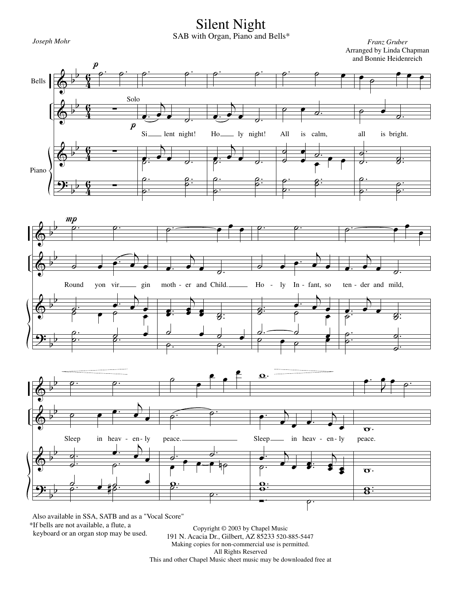Silent Night

*Joseph Mohr Franz Gruber* SAB with Organ, Piano and Bells\*





Also available in SSA, SATB and as a "Vocal Score"

\*If bells are not available, a flute, a

keyboard or an organ stop may be used.

Copyright © 2003 by Chapel Music 191 N. Acacia Dr., Gilbert, AZ 85233 520-885-5447 Making copies for non-commercial use is permitted. All Rights Reserved This and other Chapel Music sheet music may be downloaded free at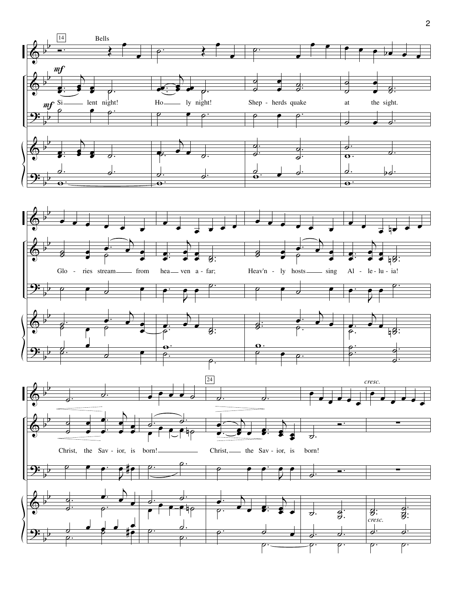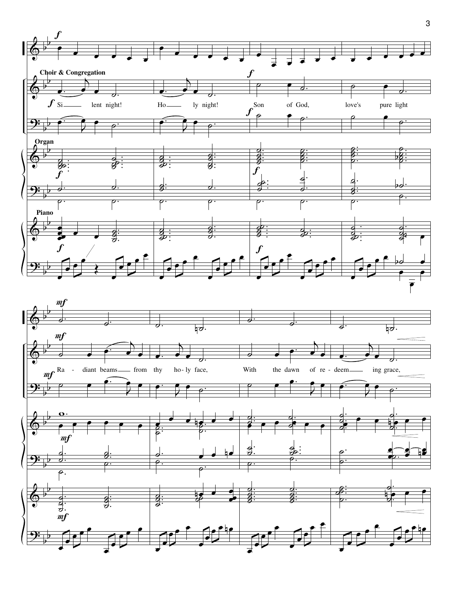